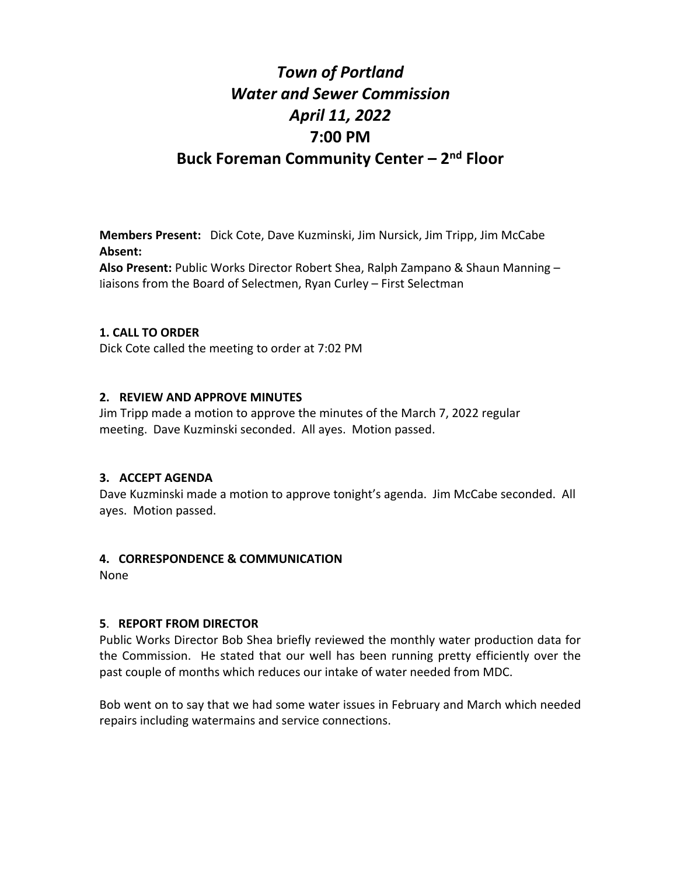# *Town of Portland Water and Sewer Commission April 11, 2022* **7:00 PM Buck Foreman Community Center – 2nd Floor**

**Members Present:** Dick Cote, Dave Kuzminski, Jim Nursick, Jim Tripp, Jim McCabe **Absent:**

**Also Present:** Public Works Director Robert Shea, Ralph Zampano & Shaun Manning – liaisons from the Board of Selectmen, Ryan Curley – First Selectman

# **1. CALL TO ORDER**

Dick Cote called the meeting to order at 7:02 PM

# **2. REVIEW AND APPROVE MINUTES**

Jim Tripp made a motion to approve the minutes of the March 7, 2022 regular meeting. Dave Kuzminski seconded. All ayes. Motion passed.

#### **3. ACCEPT AGENDA**

Dave Kuzminski made a motion to approve tonight's agenda. Jim McCabe seconded. All ayes. Motion passed.

#### **4. CORRESPONDENCE & COMMUNICATION**

None

# **5**. **REPORT FROM DIRECTOR**

Public Works Director Bob Shea briefly reviewed the monthly water production data for the Commission. He stated that our well has been running pretty efficiently over the past couple of months which reduces our intake of water needed from MDC.

Bob went on to say that we had some water issues in February and March which needed repairs including watermains and service connections.